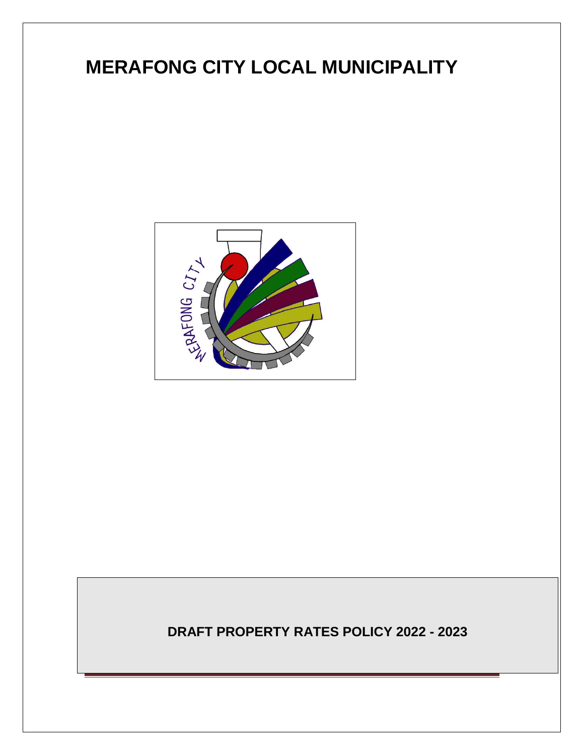# **MERAFONG CITY LOCAL MUNICIPALITY**



**DRAFT PROPERTY RATES POLICY 2022 - 2023**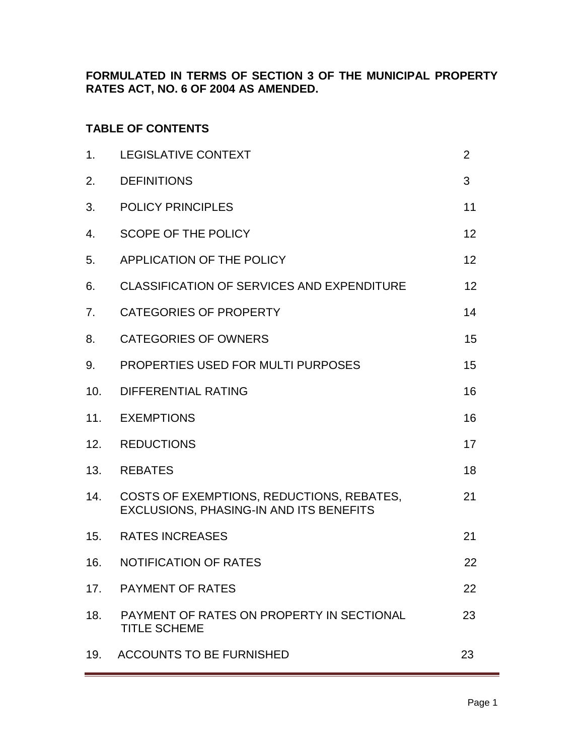**FORMULATED IN TERMS OF SECTION 3 OF THE MUNICIPAL PROPERTY RATES ACT, NO. 6 OF 2004 AS AMENDED.**

# **TABLE OF CONTENTS**

| 1.  | <b>LEGISLATIVE CONTEXT</b>                                                           | $\overline{2}$ |
|-----|--------------------------------------------------------------------------------------|----------------|
| 2.  | <b>DEFINITIONS</b>                                                                   | 3              |
| 3.  | <b>POLICY PRINCIPLES</b>                                                             | 11             |
| 4.  | SCOPE OF THE POLICY                                                                  | 12             |
| 5.  | APPLICATION OF THE POLICY                                                            | 12             |
| 6.  | <b>CLASSIFICATION OF SERVICES AND EXPENDITURE</b>                                    | 12             |
| 7.  | <b>CATEGORIES OF PROPERTY</b>                                                        | 14             |
| 8.  | <b>CATEGORIES OF OWNERS</b>                                                          | 15             |
| 9.  | PROPERTIES USED FOR MULTI PURPOSES                                                   | 15             |
| 10. | <b>DIFFERENTIAL RATING</b>                                                           | 16             |
| 11. | <b>EXEMPTIONS</b>                                                                    | 16             |
| 12. | <b>REDUCTIONS</b>                                                                    | 17             |
| 13. | <b>REBATES</b>                                                                       | 18             |
| 14. | COSTS OF EXEMPTIONS, REDUCTIONS, REBATES,<br>EXCLUSIONS, PHASING-IN AND ITS BENEFITS | 21             |
| 15. | <b>RATES INCREASES</b>                                                               | 21             |
| 16. | NOTIFICATION OF RATES                                                                | 22             |
| 17. | <b>PAYMENT OF RATES</b>                                                              | 22             |
| 18. | PAYMENT OF RATES ON PROPERTY IN SECTIONAL<br><b>TITLE SCHEME</b>                     | 23             |
| 19. | <b>ACCOUNTS TO BE FURNISHED</b>                                                      | 23             |
|     |                                                                                      |                |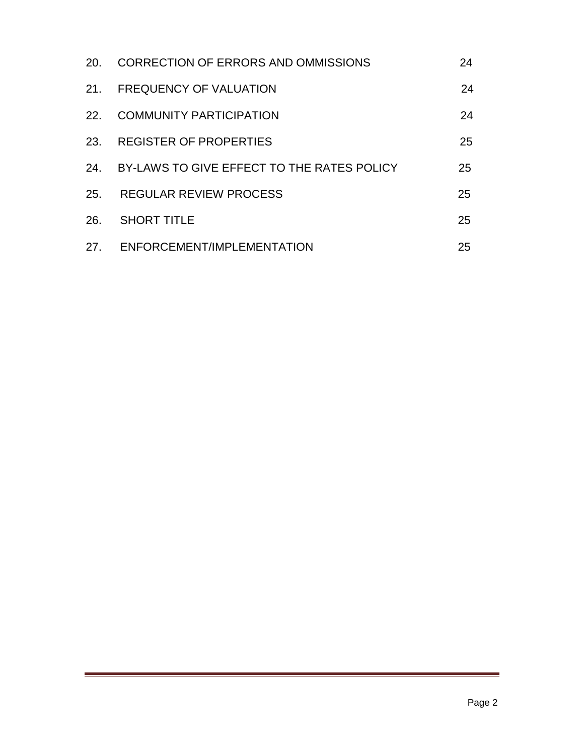| <b>20.</b> | CORRECTION OF ERRORS AND OMMISSIONS        | 24 |
|------------|--------------------------------------------|----|
| 21.        | <b>FREQUENCY OF VALUATION</b>              | 24 |
| 22.        | <b>COMMUNITY PARTICIPATION</b>             | 24 |
| 23.        | <b>REGISTER OF PROPERTIES</b>              | 25 |
| 24.        | BY-LAWS TO GIVE EFFECT TO THE RATES POLICY | 25 |
| 25.        | <b>REGULAR REVIEW PROCESS</b>              | 25 |
| 26.        | <b>SHORT TITLE</b>                         | 25 |
| 27.        | ENFORCEMENT/IMPLEMENTATION                 | 25 |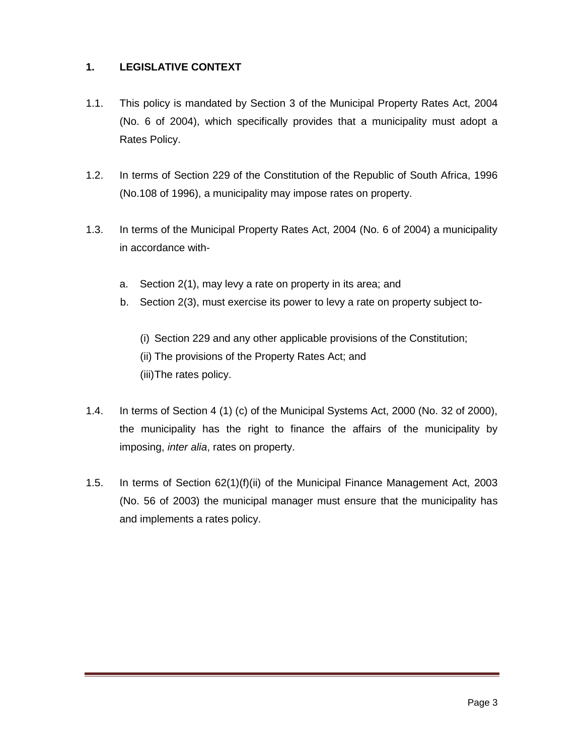### **1. LEGISLATIVE CONTEXT**

- 1.1. This policy is mandated by Section 3 of the Municipal Property Rates Act, 2004 (No. 6 of 2004), which specifically provides that a municipality must adopt a Rates Policy.
- 1.2. In terms of Section 229 of the Constitution of the Republic of South Africa, 1996 (No.108 of 1996), a municipality may impose rates on property.
- 1.3. In terms of the Municipal Property Rates Act, 2004 (No. 6 of 2004) a municipality in accordance with
	- a. Section 2(1), may levy a rate on property in its area; and
	- b. Section 2(3), must exercise its power to levy a rate on property subject to-

(i) Section 229 and any other applicable provisions of the Constitution; (ii) The provisions of the Property Rates Act; and (iii)The rates policy.

- 1.4. In terms of Section 4 (1) (c) of the Municipal Systems Act, 2000 (No. 32 of 2000), the municipality has the right to finance the affairs of the municipality by imposing, *inter alia*, rates on property.
- 1.5. In terms of Section 62(1)(f)(ii) of the Municipal Finance Management Act, 2003 (No. 56 of 2003) the municipal manager must ensure that the municipality has and implements a rates policy.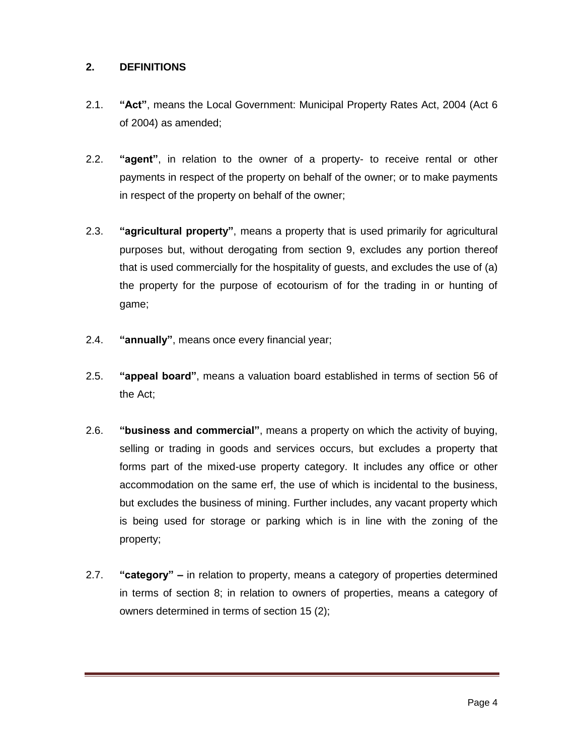#### **2. DEFINITIONS**

- 2.1. **"Act"**, means the Local Government: Municipal Property Rates Act, 2004 (Act 6 of 2004) as amended;
- 2.2. **"agent"**, in relation to the owner of a property- to receive rental or other payments in respect of the property on behalf of the owner; or to make payments in respect of the property on behalf of the owner;
- 2.3. **"agricultural property"**, means a property that is used primarily for agricultural purposes but, without derogating from section 9, excludes any portion thereof that is used commercially for the hospitality of guests, and excludes the use of (a) the property for the purpose of ecotourism of for the trading in or hunting of game;
- 2.4. **"annually"**, means once every financial year;
- 2.5. **"appeal board"**, means a valuation board established in terms of section 56 of the Act;
- 2.6. **"business and commercial"**, means a property on which the activity of buying, selling or trading in goods and services occurs, but excludes a property that forms part of the mixed-use property category. It includes any office or other accommodation on the same erf, the use of which is incidental to the business, but excludes the business of mining. Further includes, any vacant property which is being used for storage or parking which is in line with the zoning of the property;
- 2.7. **"category" –** in relation to property, means a category of properties determined in terms of section 8; in relation to owners of properties, means a category of owners determined in terms of section 15 (2);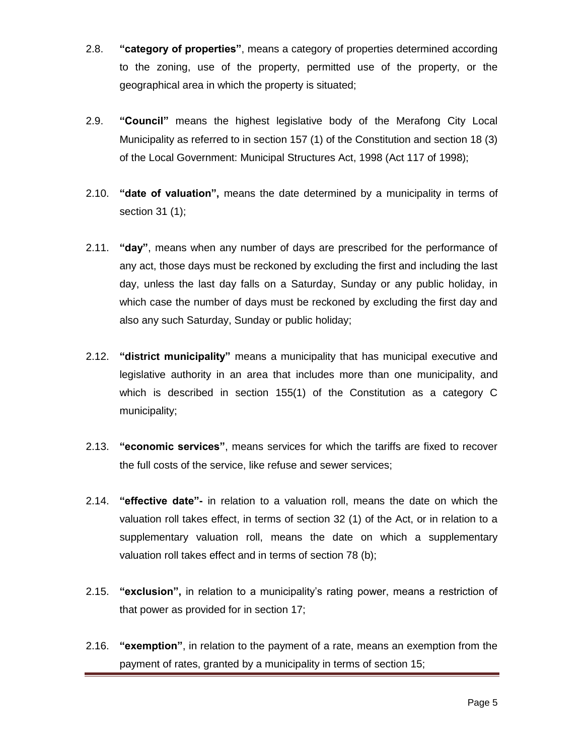- 2.8. **"category of properties"**, means a category of properties determined according to the zoning, use of the property, permitted use of the property, or the geographical area in which the property is situated;
- 2.9. **"Council"** means the highest legislative body of the Merafong City Local Municipality as referred to in section 157 (1) of the Constitution and section 18 (3) of the Local Government: Municipal Structures Act, 1998 (Act 117 of 1998);
- 2.10. **"date of valuation",** means the date determined by a municipality in terms of section 31 (1);
- 2.11. **"day"**, means when any number of days are prescribed for the performance of any act, those days must be reckoned by excluding the first and including the last day, unless the last day falls on a Saturday, Sunday or any public holiday, in which case the number of days must be reckoned by excluding the first day and also any such Saturday, Sunday or public holiday;
- 2.12. **"district municipality"** means a municipality that has municipal executive and legislative authority in an area that includes more than one municipality, and which is described in section 155(1) of the Constitution as a category C municipality;
- 2.13. **"economic services"**, means services for which the tariffs are fixed to recover the full costs of the service, like refuse and sewer services;
- 2.14. **"effective date"-** in relation to a valuation roll, means the date on which the valuation roll takes effect, in terms of section 32 (1) of the Act, or in relation to a supplementary valuation roll, means the date on which a supplementary valuation roll takes effect and in terms of section 78 (b);
- 2.15. **"exclusion",** in relation to a municipality's rating power, means a restriction of that power as provided for in section 17;
- 2.16. **"exemption"**, in relation to the payment of a rate, means an exemption from the payment of rates, granted by a municipality in terms of section 15;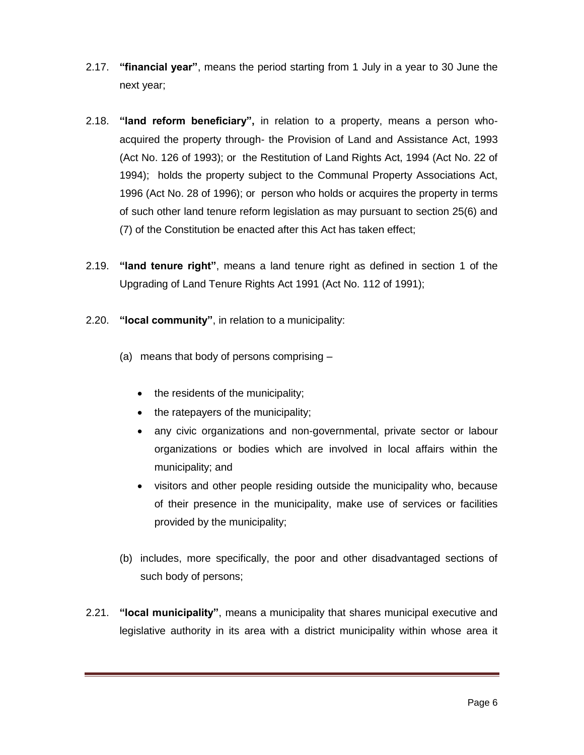- 2.17. **"financial year"**, means the period starting from 1 July in a year to 30 June the next year;
- 2.18. **"land reform beneficiary",** in relation to a property, means a person whoacquired the property through- the Provision of Land and Assistance Act, 1993 (Act No. 126 of 1993); or the Restitution of Land Rights Act, 1994 (Act No. 22 of 1994); holds the property subject to the Communal Property Associations Act, 1996 (Act No. 28 of 1996); or person who holds or acquires the property in terms of such other land tenure reform legislation as may pursuant to section 25(6) and (7) of the Constitution be enacted after this Act has taken effect;
- 2.19. **"land tenure right"**, means a land tenure right as defined in section 1 of the Upgrading of Land Tenure Rights Act 1991 (Act No. 112 of 1991);
- 2.20. **"local community"**, in relation to a municipality:
	- (a) means that body of persons comprising
		- the residents of the municipality;
		- the ratepayers of the municipality;
		- any civic organizations and non-governmental, private sector or labour organizations or bodies which are involved in local affairs within the municipality; and
		- visitors and other people residing outside the municipality who, because of their presence in the municipality, make use of services or facilities provided by the municipality;
	- (b) includes, more specifically, the poor and other disadvantaged sections of such body of persons;
- 2.21. **"local municipality"**, means a municipality that shares municipal executive and legislative authority in its area with a district municipality within whose area it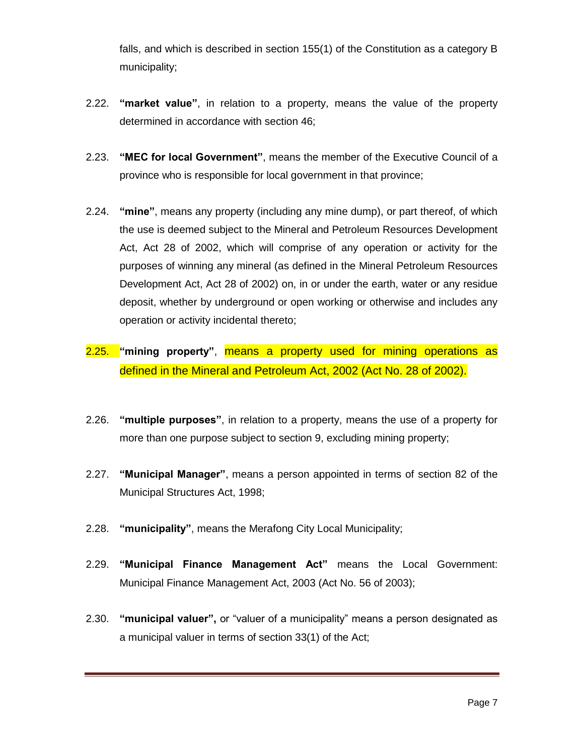falls, and which is described in section 155(1) of the Constitution as a category B municipality;

- 2.22. **"market value"**, in relation to a property, means the value of the property determined in accordance with section 46;
- 2.23. **"MEC for local Government"**, means the member of the Executive Council of a province who is responsible for local government in that province;
- 2.24. **"mine"**, means any property (including any mine dump), or part thereof, of which the use is deemed subject to the Mineral and Petroleum Resources Development Act, Act 28 of 2002, which will comprise of any operation or activity for the purposes of winning any mineral (as defined in the Mineral Petroleum Resources Development Act, Act 28 of 2002) on, in or under the earth, water or any residue deposit, whether by underground or open working or otherwise and includes any operation or activity incidental thereto;
- 2.25. **"mining property"**, means a property used for mining operations as defined in the Mineral and Petroleum Act, 2002 (Act No. 28 of 2002).
- 2.26. **"multiple purposes"**, in relation to a property, means the use of a property for more than one purpose subject to section 9, excluding mining property;
- 2.27. **"Municipal Manager"**, means a person appointed in terms of section 82 of the Municipal Structures Act, 1998;
- 2.28. **"municipality"**, means the Merafong City Local Municipality;
- 2.29. **"Municipal Finance Management Act"** means the Local Government: Municipal Finance Management Act, 2003 (Act No. 56 of 2003);
- 2.30. **"municipal valuer",** or "valuer of a municipality" means a person designated as a municipal valuer in terms of section 33(1) of the Act;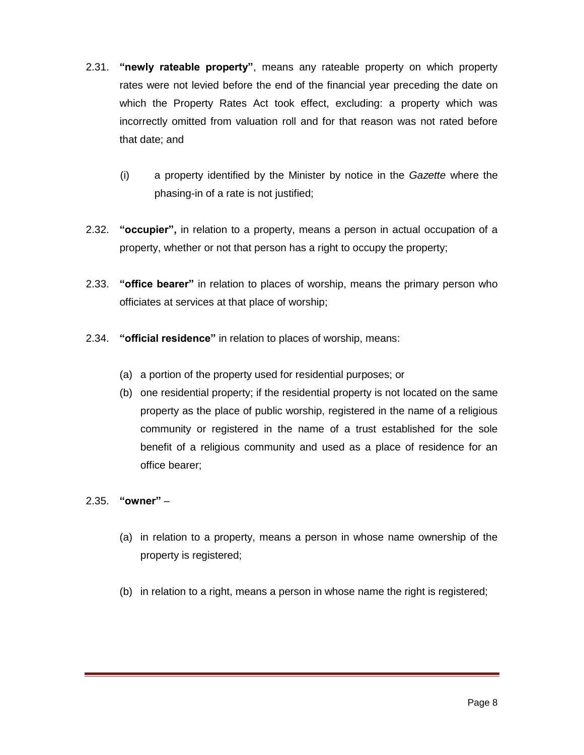- 2.31. **"newly rateable property"**, means any rateable property on which property rates were not levied before the end of the financial year preceding the date on which the Property Rates Act took effect, excluding: a property which was incorrectly omitted from valuation roll and for that reason was not rated before that date; and
	- (i) a property identified by the Minister by notice in the *Gazette* where the phasing-in of a rate is not justified;
- 2.32. **"occupier",** in relation to a property, means a person in actual occupation of a property, whether or not that person has a right to occupy the property;
- 2.33. **"office bearer"** in relation to places of worship, means the primary person who officiates at services at that place of worship;
- 2.34. **"official residence"** in relation to places of worship, means:
	- (a) a portion of the property used for residential purposes; or
	- (b) one residential property; if the residential property is not located on the same property as the place of public worship, registered in the name of a religious community or registered in the name of a trust established for the sole benefit of a religious community and used as a place of residence for an office bearer;
- 2.35. **"owner"**
	- (a) in relation to a property, means a person in whose name ownership of the property is registered;
	- (b) in relation to a right, means a person in whose name the right is registered;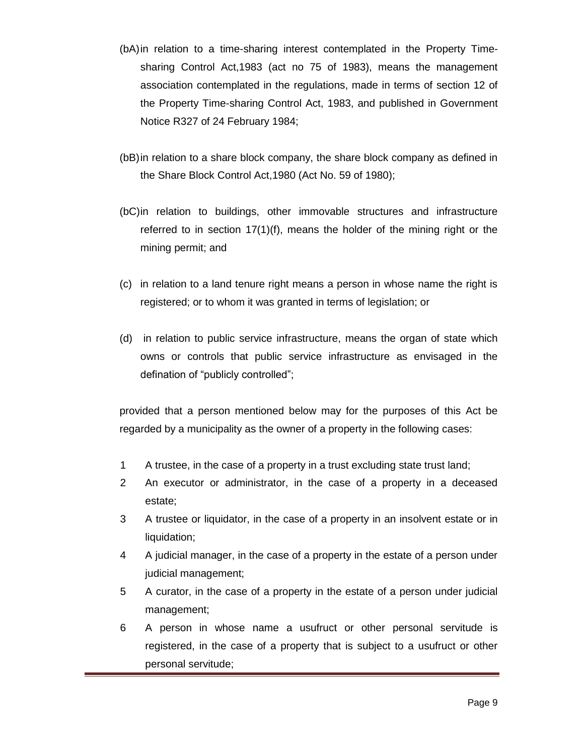- (bA)in relation to a time-sharing interest contemplated in the Property Timesharing Control Act,1983 (act no 75 of 1983), means the management association contemplated in the regulations, made in terms of section 12 of the Property Time-sharing Control Act, 1983, and published in Government Notice R327 of 24 February 1984;
- (bB)in relation to a share block company, the share block company as defined in the Share Block Control Act,1980 (Act No. 59 of 1980);
- (bC)in relation to buildings, other immovable structures and infrastructure referred to in section 17(1)(f), means the holder of the mining right or the mining permit; and
- (c) in relation to a land tenure right means a person in whose name the right is registered; or to whom it was granted in terms of legislation; or
- (d) in relation to public service infrastructure, means the organ of state which owns or controls that public service infrastructure as envisaged in the defination of "publicly controlled";

provided that a person mentioned below may for the purposes of this Act be regarded by a municipality as the owner of a property in the following cases:

- 1 A trustee, in the case of a property in a trust excluding state trust land;
- 2 An executor or administrator, in the case of a property in a deceased estate;
- 3 A trustee or liquidator, in the case of a property in an insolvent estate or in liquidation;
- 4 A judicial manager, in the case of a property in the estate of a person under judicial management;
- 5 A curator, in the case of a property in the estate of a person under judicial management;
- 6 A person in whose name a usufruct or other personal servitude is registered, in the case of a property that is subject to a usufruct or other personal servitude;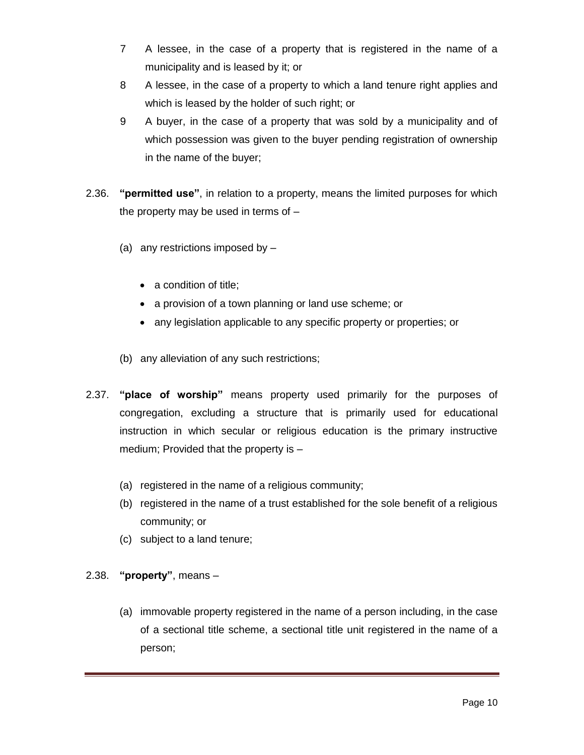- 7 A lessee, in the case of a property that is registered in the name of a municipality and is leased by it; or
- 8 A lessee, in the case of a property to which a land tenure right applies and which is leased by the holder of such right; or
- 9 A buyer, in the case of a property that was sold by a municipality and of which possession was given to the buyer pending registration of ownership in the name of the buyer;
- 2.36. **"permitted use"**, in relation to a property, means the limited purposes for which the property may be used in terms of –
	- (a) any restrictions imposed by
		- a condition of title;
		- a provision of a town planning or land use scheme; or
		- any legislation applicable to any specific property or properties; or
	- (b) any alleviation of any such restrictions;
- 2.37. **"place of worship"** means property used primarily for the purposes of congregation, excluding a structure that is primarily used for educational instruction in which secular or religious education is the primary instructive medium; Provided that the property is –
	- (a) registered in the name of a religious community;
	- (b) registered in the name of a trust established for the sole benefit of a religious community; or
	- (c) subject to a land tenure;
- 2.38. **"property"**, means
	- (a) immovable property registered in the name of a person including, in the case of a sectional title scheme, a sectional title unit registered in the name of a person;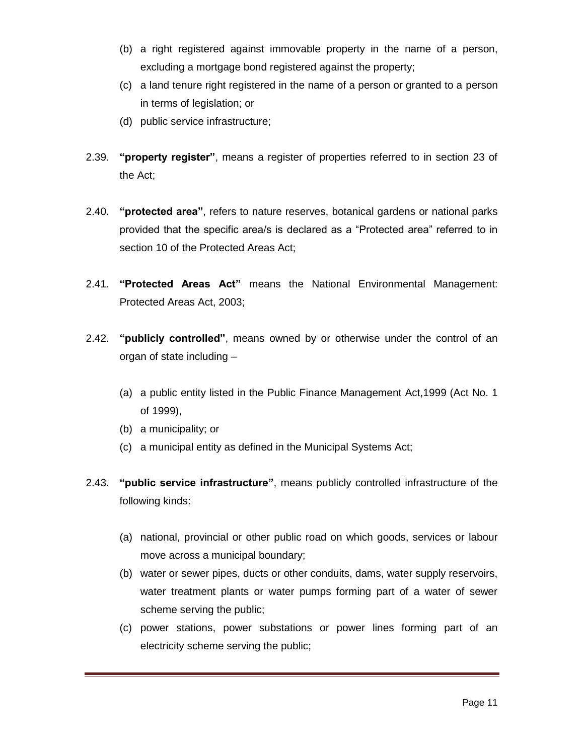- (b) a right registered against immovable property in the name of a person, excluding a mortgage bond registered against the property;
- (c) a land tenure right registered in the name of a person or granted to a person in terms of legislation; or
- (d) public service infrastructure;
- 2.39. **"property register"**, means a register of properties referred to in section 23 of the Act;
- 2.40. **"protected area"**, refers to nature reserves, botanical gardens or national parks provided that the specific area/s is declared as a "Protected area" referred to in section 10 of the Protected Areas Act;
- 2.41. **"Protected Areas Act"** means the National Environmental Management: Protected Areas Act, 2003;
- 2.42. **"publicly controlled"**, means owned by or otherwise under the control of an organ of state including –
	- (a) a public entity listed in the Public Finance Management Act,1999 (Act No. 1 of 1999),
	- (b) a municipality; or
	- (c) a municipal entity as defined in the Municipal Systems Act;
- 2.43. **"public service infrastructure"**, means publicly controlled infrastructure of the following kinds:
	- (a) national, provincial or other public road on which goods, services or labour move across a municipal boundary;
	- (b) water or sewer pipes, ducts or other conduits, dams, water supply reservoirs, water treatment plants or water pumps forming part of a water of sewer scheme serving the public;
	- (c) power stations, power substations or power lines forming part of an electricity scheme serving the public;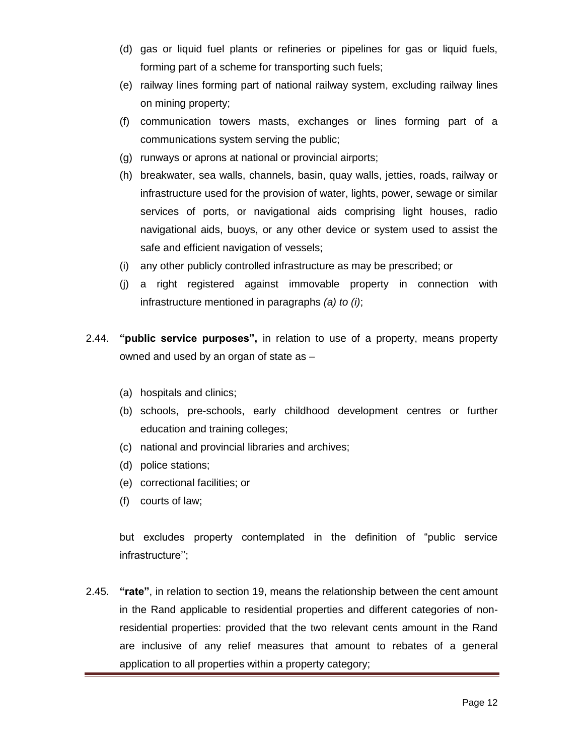- (d) gas or liquid fuel plants or refineries or pipelines for gas or liquid fuels, forming part of a scheme for transporting such fuels;
- (e) railway lines forming part of national railway system, excluding railway lines on mining property;
- (f) communication towers masts, exchanges or lines forming part of a communications system serving the public;
- (g) runways or aprons at national or provincial airports;
- (h) breakwater, sea walls, channels, basin, quay walls, jetties, roads, railway or infrastructure used for the provision of water, lights, power, sewage or similar services of ports, or navigational aids comprising light houses, radio navigational aids, buoys, or any other device or system used to assist the safe and efficient navigation of vessels;
- (i) any other publicly controlled infrastructure as may be prescribed; or
- (j) a right registered against immovable property in connection with infrastructure mentioned in paragraphs *(a) to (i)*;
- 2.44. **"public service purposes",** in relation to use of a property, means property owned and used by an organ of state as –
	- (a) hospitals and clinics;
	- (b) schools, pre-schools, early childhood development centres or further education and training colleges;
	- (c) national and provincial libraries and archives;
	- (d) police stations;
	- (e) correctional facilities; or
	- (f) courts of law;

but excludes property contemplated in the definition of "public service infrastructure'';

2.45. **"rate"**, in relation to section 19, means the relationship between the cent amount in the Rand applicable to residential properties and different categories of nonresidential properties: provided that the two relevant cents amount in the Rand are inclusive of any relief measures that amount to rebates of a general application to all properties within a property category;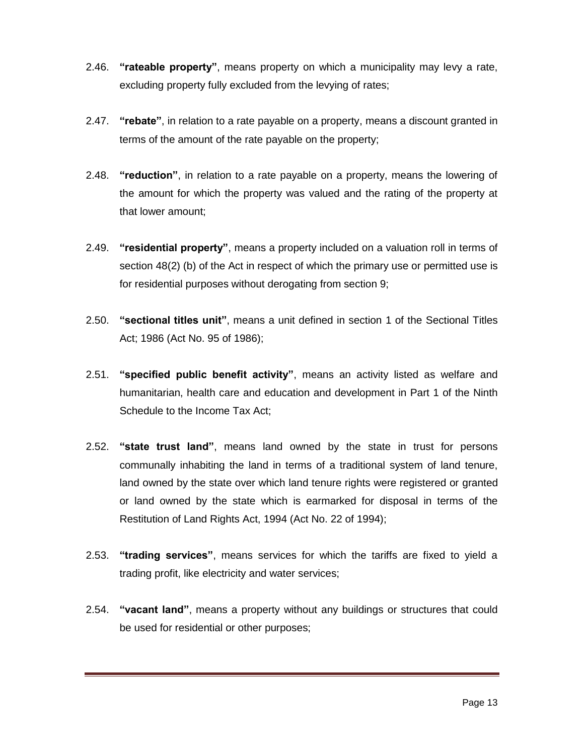- 2.46. **"rateable property"**, means property on which a municipality may levy a rate, excluding property fully excluded from the levying of rates;
- 2.47. **"rebate"**, in relation to a rate payable on a property, means a discount granted in terms of the amount of the rate payable on the property;
- 2.48. **"reduction"**, in relation to a rate payable on a property, means the lowering of the amount for which the property was valued and the rating of the property at that lower amount;
- 2.49. **"residential property"**, means a property included on a valuation roll in terms of section 48(2) (b) of the Act in respect of which the primary use or permitted use is for residential purposes without derogating from section 9;
- 2.50. **"sectional titles unit"**, means a unit defined in section 1 of the Sectional Titles Act; 1986 (Act No. 95 of 1986);
- 2.51. **"specified public benefit activity"**, means an activity listed as welfare and humanitarian, health care and education and development in Part 1 of the Ninth Schedule to the Income Tax Act;
- 2.52. **"state trust land"**, means land owned by the state in trust for persons communally inhabiting the land in terms of a traditional system of land tenure, land owned by the state over which land tenure rights were registered or granted or land owned by the state which is earmarked for disposal in terms of the Restitution of Land Rights Act, 1994 (Act No. 22 of 1994);
- 2.53. **"trading services"**, means services for which the tariffs are fixed to yield a trading profit, like electricity and water services;
- 2.54. **"vacant land"**, means a property without any buildings or structures that could be used for residential or other purposes;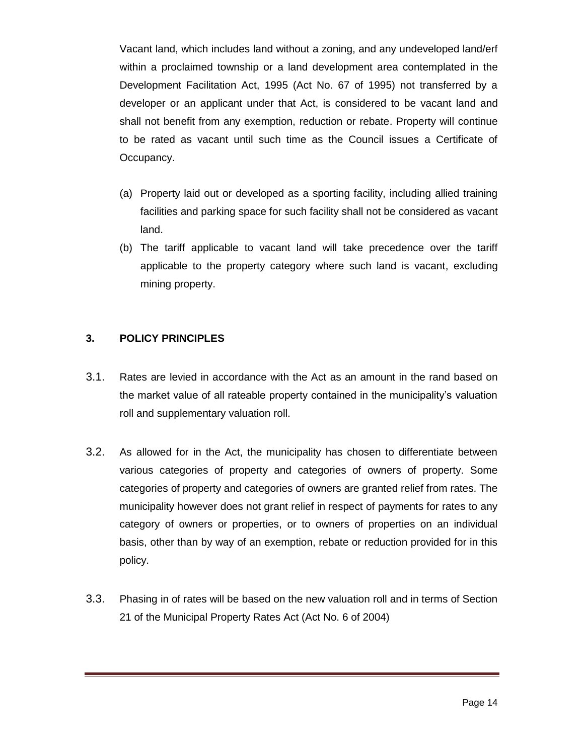Vacant land, which includes land without a zoning, and any undeveloped land/erf within a proclaimed township or a land development area contemplated in the Development Facilitation Act, 1995 (Act No. 67 of 1995) not transferred by a developer or an applicant under that Act, is considered to be vacant land and shall not benefit from any exemption, reduction or rebate. Property will continue to be rated as vacant until such time as the Council issues a Certificate of Occupancy.

- (a) Property laid out or developed as a sporting facility, including allied training facilities and parking space for such facility shall not be considered as vacant land.
- (b) The tariff applicable to vacant land will take precedence over the tariff applicable to the property category where such land is vacant, excluding mining property.

#### **3. POLICY PRINCIPLES**

- 3.1. Rates are levied in accordance with the Act as an amount in the rand based on the market value of all rateable property contained in the municipality's valuation roll and supplementary valuation roll.
- 3.2. As allowed for in the Act, the municipality has chosen to differentiate between various categories of property and categories of owners of property. Some categories of property and categories of owners are granted relief from rates. The municipality however does not grant relief in respect of payments for rates to any category of owners or properties, or to owners of properties on an individual basis, other than by way of an exemption, rebate or reduction provided for in this policy.
- 3.3. Phasing in of rates will be based on the new valuation roll and in terms of Section 21 of the Municipal Property Rates Act (Act No. 6 of 2004)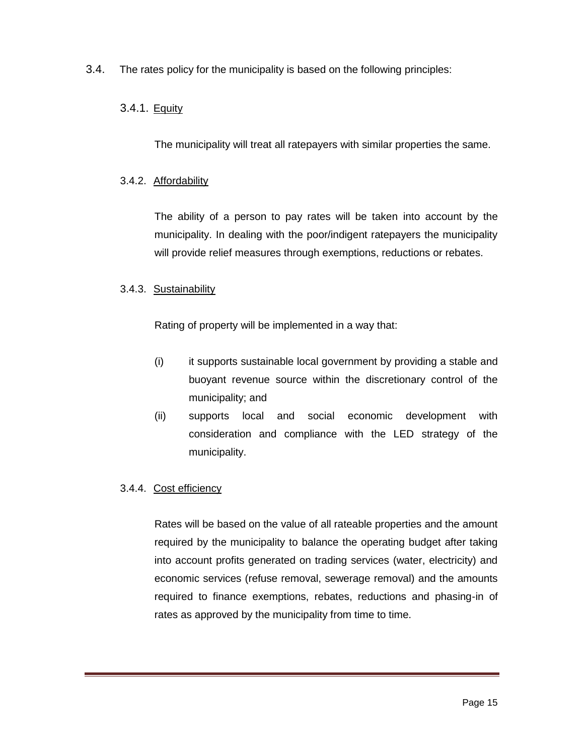3.4. The rates policy for the municipality is based on the following principles:

#### 3.4.1. <u>Equity</u>

The municipality will treat all ratepayers with similar properties the same.

#### 3.4.2. Affordability

The ability of a person to pay rates will be taken into account by the municipality. In dealing with the poor/indigent ratepayers the municipality will provide relief measures through exemptions, reductions or rebates.

#### 3.4.3. Sustainability

Rating of property will be implemented in a way that:

- (i) it supports sustainable local government by providing a stable and buoyant revenue source within the discretionary control of the municipality; and
- (ii) supports local and social economic development with consideration and compliance with the LED strategy of the municipality.

#### 3.4.4. Cost efficiency

Rates will be based on the value of all rateable properties and the amount required by the municipality to balance the operating budget after taking into account profits generated on trading services (water, electricity) and economic services (refuse removal, sewerage removal) and the amounts required to finance exemptions, rebates, reductions and phasing-in of rates as approved by the municipality from time to time.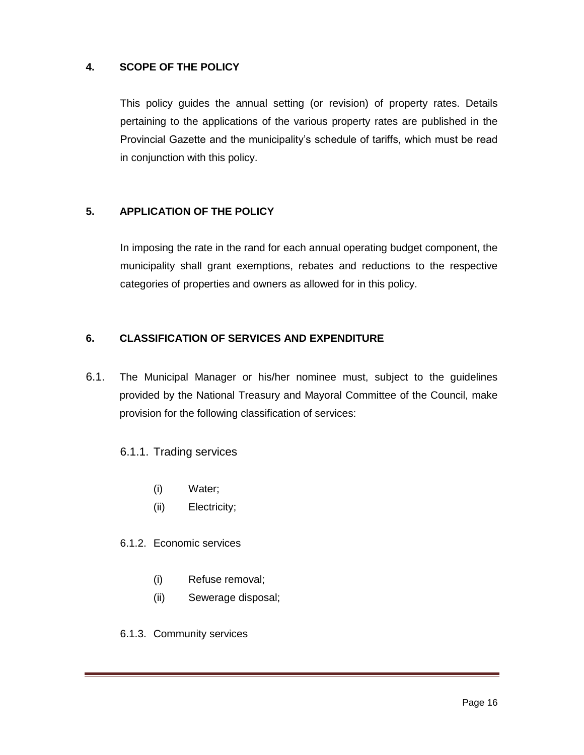#### **4. SCOPE OF THE POLICY**

This policy guides the annual setting (or revision) of property rates. Details pertaining to the applications of the various property rates are published in the Provincial Gazette and the municipality's schedule of tariffs, which must be read in conjunction with this policy.

#### **5. APPLICATION OF THE POLICY**

In imposing the rate in the rand for each annual operating budget component, the municipality shall grant exemptions, rebates and reductions to the respective categories of properties and owners as allowed for in this policy.

#### **6. CLASSIFICATION OF SERVICES AND EXPENDITURE**

6.1. The Municipal Manager or his/her nominee must, subject to the guidelines provided by the National Treasury and Mayoral Committee of the Council, make provision for the following classification of services:

#### 6.1.1. Trading services

- (i) Water;
- (ii) Electricity;

#### 6.1.2. Economic services

- (i) Refuse removal;
- (ii) Sewerage disposal;
- 6.1.3. Community services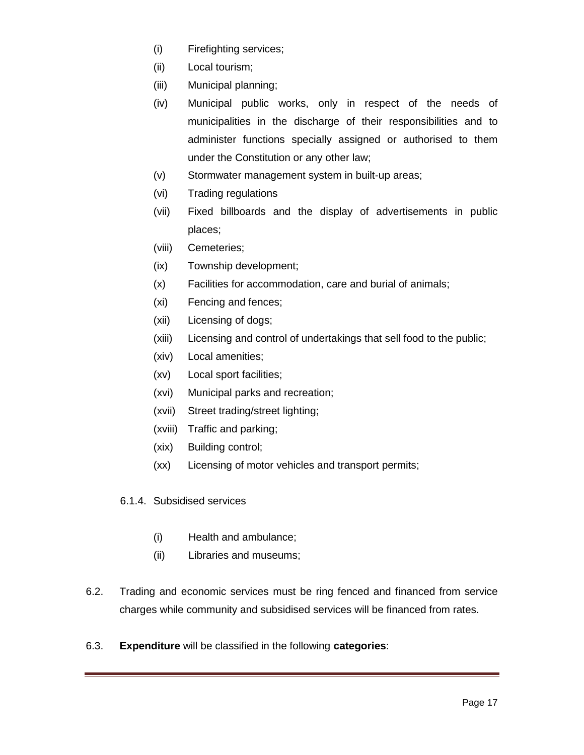- (i) Firefighting services;
- (ii) Local tourism;
- (iii) Municipal planning;
- (iv) Municipal public works, only in respect of the needs of municipalities in the discharge of their responsibilities and to administer functions specially assigned or authorised to them under the Constitution or any other law;
- (v) Stormwater management system in built-up areas;
- (vi) Trading regulations
- (vii) Fixed billboards and the display of advertisements in public places;
- (viii) Cemeteries;
- (ix) Township development;
- (x) Facilities for accommodation, care and burial of animals;
- (xi) Fencing and fences;
- (xii) Licensing of dogs;
- (xiii) Licensing and control of undertakings that sell food to the public;
- (xiv) Local amenities;
- (xv) Local sport facilities;
- (xvi) Municipal parks and recreation;
- (xvii) Street trading/street lighting;
- (xviii) Traffic and parking;
- (xix) Building control;
- (xx) Licensing of motor vehicles and transport permits;
- 6.1.4. Subsidised services
	- (i) Health and ambulance;
	- (ii) Libraries and museums;
- 6.2. Trading and economic services must be ring fenced and financed from service charges while community and subsidised services will be financed from rates.
- 6.3. **Expenditure** will be classified in the following **categories**: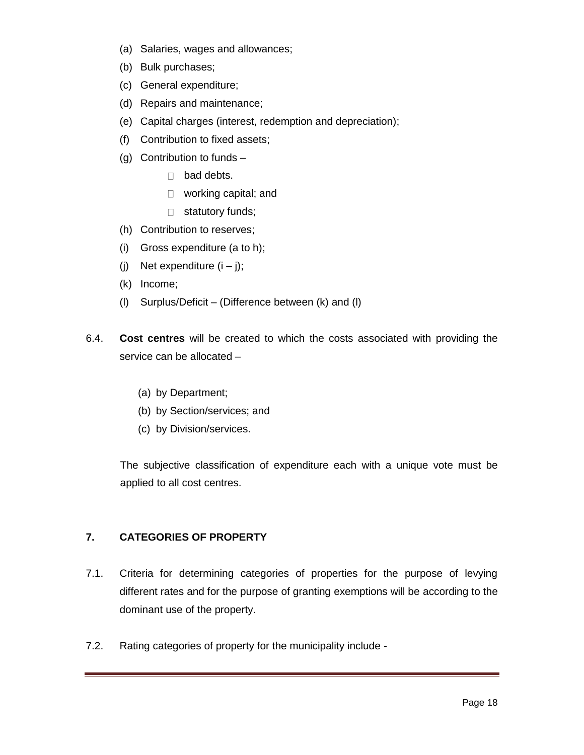- (a) Salaries, wages and allowances;
- (b) Bulk purchases;
- (c) General expenditure;
- (d) Repairs and maintenance;
- (e) Capital charges (interest, redemption and depreciation);
- (f) Contribution to fixed assets;
- (g) Contribution to funds
	- □ bad debts.
	- □ working capital; and
	- $\Box$  statutory funds;
- (h) Contribution to reserves;
- (i) Gross expenditure (a to h);
- (i) Net expenditure  $(i j)$ ;
- (k) Income;
- (l) Surplus/Deficit (Difference between (k) and (l)
- 6.4. **Cost centres** will be created to which the costs associated with providing the service can be allocated –
	- (a) by Department;
	- (b) by Section/services; and
	- (c) by Division/services.

The subjective classification of expenditure each with a unique vote must be applied to all cost centres.

#### **7. CATEGORIES OF PROPERTY**

- 7.1. Criteria for determining categories of properties for the purpose of levying different rates and for the purpose of granting exemptions will be according to the dominant use of the property.
- 7.2. Rating categories of property for the municipality include -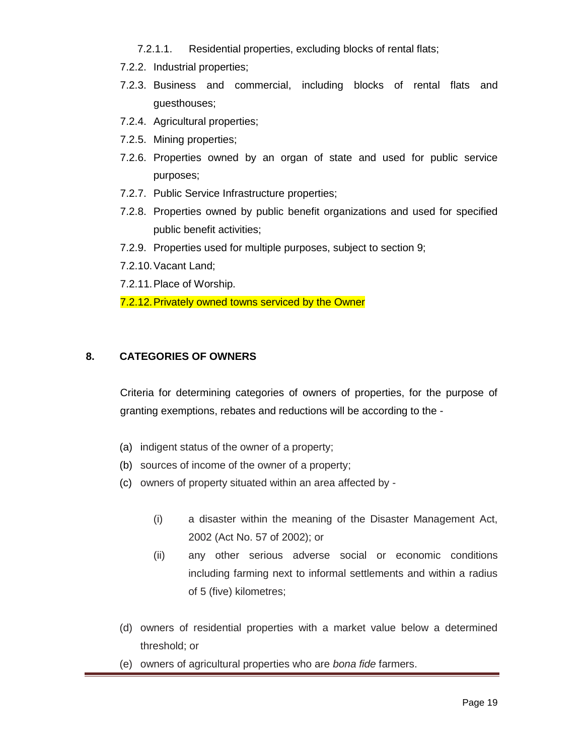- 7.2.1.1. Residential properties, excluding blocks of rental flats;
- 7.2.2. Industrial properties;
- 7.2.3. Business and commercial, including blocks of rental flats and guesthouses;
- 7.2.4. Agricultural properties;
- 7.2.5. Mining properties;
- 7.2.6. Properties owned by an organ of state and used for public service purposes;
- 7.2.7. Public Service Infrastructure properties;
- 7.2.8. Properties owned by public benefit organizations and used for specified public benefit activities;
- 7.2.9. Properties used for multiple purposes, subject to section 9;
- 7.2.10.Vacant Land;
- 7.2.11.Place of Worship.
- 7.2.12.Privately owned towns serviced by the Owner

#### **8. CATEGORIES OF OWNERS**

Criteria for determining categories of owners of properties, for the purpose of granting exemptions, rebates and reductions will be according to the -

- (a) indigent status of the owner of a property;
- (b) sources of income of the owner of a property;
- (c) owners of property situated within an area affected by
	- (i) a disaster within the meaning of the Disaster Management Act, 2002 (Act No. 57 of 2002); or
	- (ii) any other serious adverse social or economic conditions including farming next to informal settlements and within a radius of 5 (five) kilometres;
- (d) owners of residential properties with a market value below a determined threshold; or
- (e) owners of agricultural properties who are *bona fide* farmers.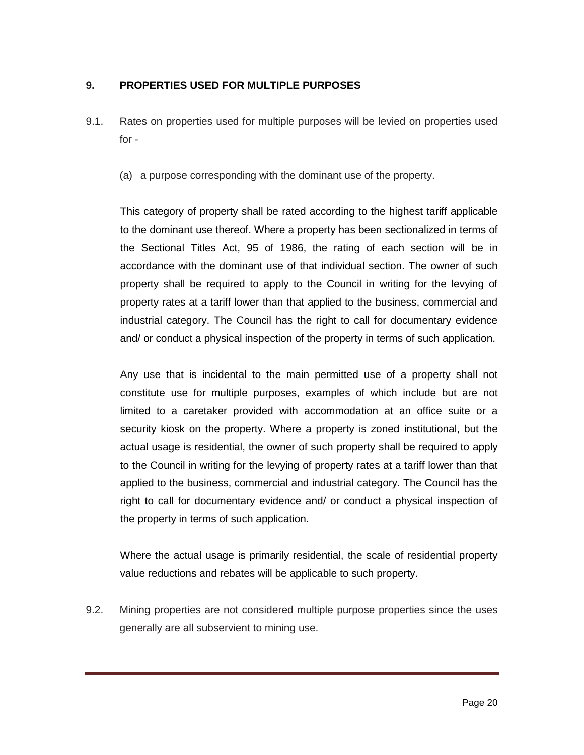#### **9. PROPERTIES USED FOR MULTIPLE PURPOSES**

- 9.1. Rates on properties used for multiple purposes will be levied on properties used for -
	- (a) a purpose corresponding with the dominant use of the property.

This category of property shall be rated according to the highest tariff applicable to the dominant use thereof. Where a property has been sectionalized in terms of the Sectional Titles Act, 95 of 1986, the rating of each section will be in accordance with the dominant use of that individual section. The owner of such property shall be required to apply to the Council in writing for the levying of property rates at a tariff lower than that applied to the business, commercial and industrial category. The Council has the right to call for documentary evidence and/ or conduct a physical inspection of the property in terms of such application.

Any use that is incidental to the main permitted use of a property shall not constitute use for multiple purposes, examples of which include but are not limited to a caretaker provided with accommodation at an office suite or a security kiosk on the property. Where a property is zoned institutional, but the actual usage is residential, the owner of such property shall be required to apply to the Council in writing for the levying of property rates at a tariff lower than that applied to the business, commercial and industrial category. The Council has the right to call for documentary evidence and/ or conduct a physical inspection of the property in terms of such application.

Where the actual usage is primarily residential, the scale of residential property value reductions and rebates will be applicable to such property.

9.2. Mining properties are not considered multiple purpose properties since the uses generally are all subservient to mining use.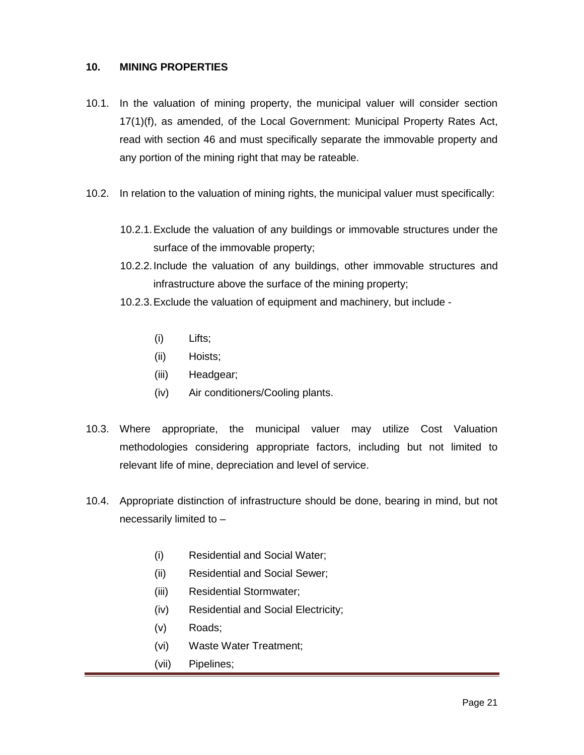#### **10. MINING PROPERTIES**

- 10.1. In the valuation of mining property, the municipal valuer will consider section 17(1)(f), as amended, of the Local Government: Municipal Property Rates Act, read with section 46 and must specifically separate the immovable property and any portion of the mining right that may be rateable.
- 10.2. In relation to the valuation of mining rights, the municipal valuer must specifically:
	- 10.2.1.Exclude the valuation of any buildings or immovable structures under the surface of the immovable property;
	- 10.2.2.Include the valuation of any buildings, other immovable structures and infrastructure above the surface of the mining property;
	- 10.2.3.Exclude the valuation of equipment and machinery, but include
		- (i) Lifts;
		- (ii) Hoists;
		- (iii) Headgear;
		- (iv) Air conditioners/Cooling plants.
- 10.3. Where appropriate, the municipal valuer may utilize Cost Valuation methodologies considering appropriate factors, including but not limited to relevant life of mine, depreciation and level of service.
- 10.4. Appropriate distinction of infrastructure should be done, bearing in mind, but not necessarily limited to –
	- (i) Residential and Social Water;
	- (ii) Residential and Social Sewer;
	- (iii) Residential Stormwater;
	- (iv) Residential and Social Electricity;
	- (v) Roads;
	- (vi) Waste Water Treatment;
	- (vii) Pipelines;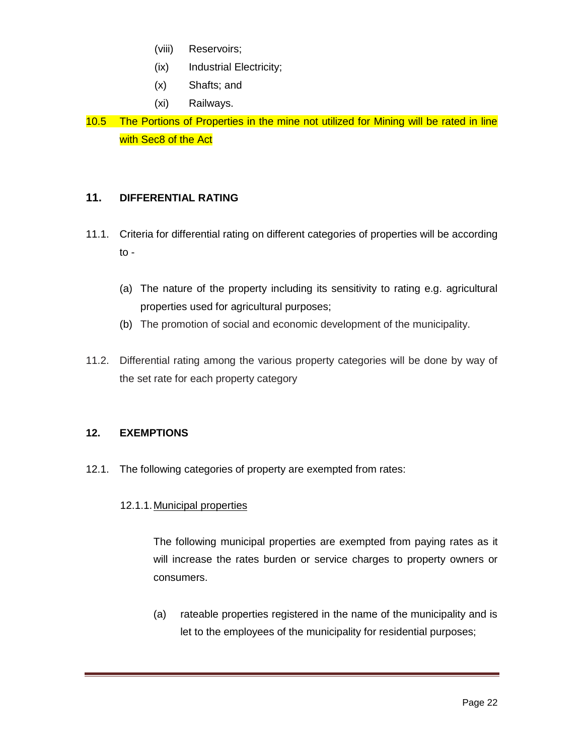- (viii) Reservoirs;
- (ix) Industrial Electricity;
- (x) Shafts; and
- (xi) Railways.
- 10.5 The Portions of Properties in the mine not utilized for Mining will be rated in line with Sec<sub>8</sub> of the Act

### **11. DIFFERENTIAL RATING**

- 11.1. Criteria for differential rating on different categories of properties will be according to -
	- (a) The nature of the property including its sensitivity to rating e.g. agricultural properties used for agricultural purposes;
	- (b) The promotion of social and economic development of the municipality.
- 11.2. Differential rating among the various property categories will be done by way of the set rate for each property category

#### **12. EXEMPTIONS**

12.1. The following categories of property are exempted from rates:

#### 12.1.1.Municipal properties

The following municipal properties are exempted from paying rates as it will increase the rates burden or service charges to property owners or consumers.

(a) rateable properties registered in the name of the municipality and is let to the employees of the municipality for residential purposes;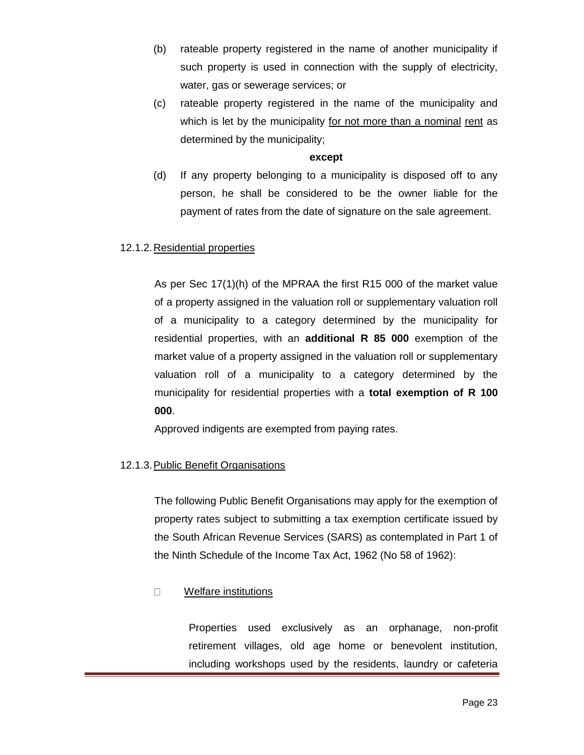- (b) rateable property registered in the name of another municipality if such property is used in connection with the supply of electricity, water, gas or sewerage services; or
- (c) rateable property registered in the name of the municipality and which is let by the municipality for not more than a nominal rent as determined by the municipality;

#### **except**

(d) If any property belonging to a municipality is disposed off to any person, he shall be considered to be the owner liable for the payment of rates from the date of signature on the sale agreement.

#### 12.1.2.Residential properties

As per Sec 17(1)(h) of the MPRAA the first R15 000 of the market value of a property assigned in the valuation roll or supplementary valuation roll of a municipality to a category determined by the municipality for residential properties, with an **additional R 85 000** exemption of the market value of a property assigned in the valuation roll or supplementary valuation roll of a municipality to a category determined by the municipality for residential properties with a **total exemption of R 100 000**.

Approved indigents are exempted from paying rates.

#### 12.1.3.Public Benefit Organisations

The following Public Benefit Organisations may apply for the exemption of property rates subject to submitting a tax exemption certificate issued by the South African Revenue Services (SARS) as contemplated in Part 1 of the Ninth Schedule of the Income Tax Act, 1962 (No 58 of 1962):

#### Welfare institutions  $\Box$

Properties used exclusively as an orphanage, non-profit retirement villages, old age home or benevolent institution, including workshops used by the residents, laundry or cafeteria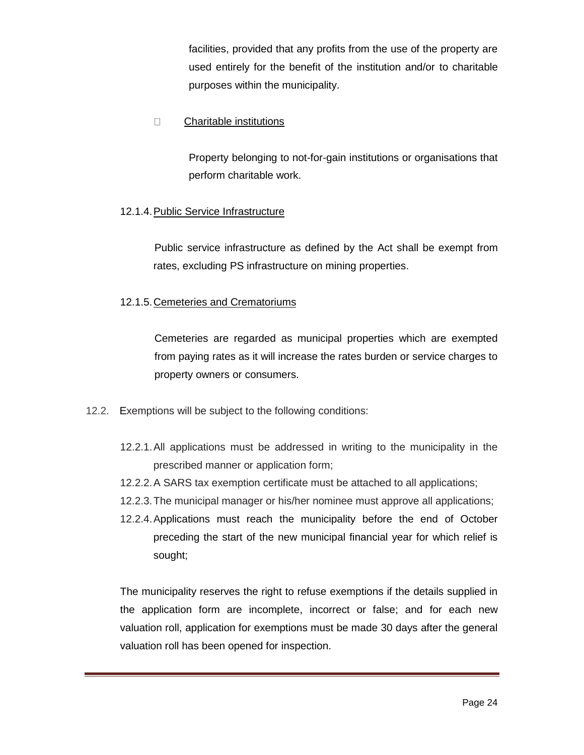facilities, provided that any profits from the use of the property are used entirely for the benefit of the institution and/or to charitable purposes within the municipality.

#### $\Box$ Charitable institutions

Property belonging to not-for-gain institutions or organisations that perform charitable work.

#### 12.1.4.Public Service Infrastructure

Public service infrastructure as defined by the Act shall be exempt from rates, excluding PS infrastructure on mining properties.

#### 12.1.5. Cemeteries and Crematoriums

Cemeteries are regarded as municipal properties which are exempted from paying rates as it will increase the rates burden or service charges to property owners or consumers.

- 12.2. Exemptions will be subject to the following conditions:
	- 12.2.1.All applications must be addressed in writing to the municipality in the prescribed manner or application form;
	- 12.2.2.A SARS tax exemption certificate must be attached to all applications;
	- 12.2.3.The municipal manager or his/her nominee must approve all applications;
	- 12.2.4.Applications must reach the municipality before the end of October preceding the start of the new municipal financial year for which relief is sought;

The municipality reserves the right to refuse exemptions if the details supplied in the application form are incomplete, incorrect or false; and for each new valuation roll, application for exemptions must be made 30 days after the general valuation roll has been opened for inspection.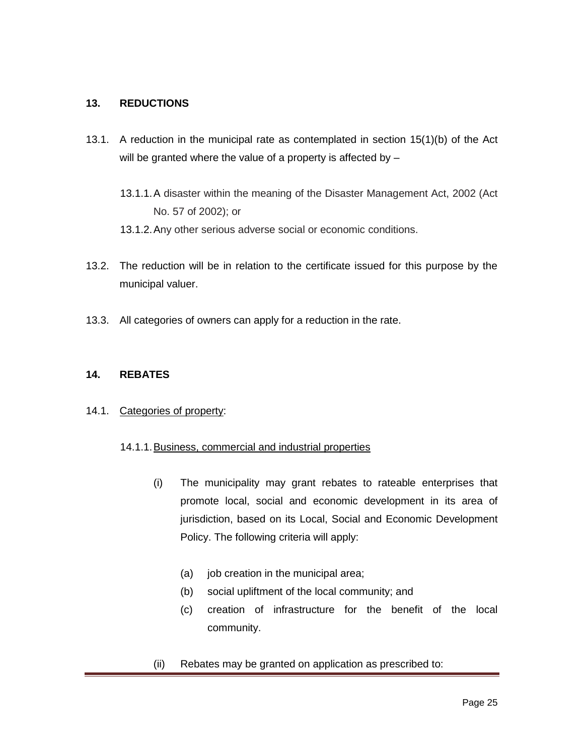#### **13. REDUCTIONS**

- 13.1. A reduction in the municipal rate as contemplated in section 15(1)(b) of the Act will be granted where the value of a property is affected by -
	- 13.1.1.A disaster within the meaning of the Disaster Management Act, 2002 (Act No. 57 of 2002); or
	- 13.1.2.Any other serious adverse social or economic conditions.
- 13.2. The reduction will be in relation to the certificate issued for this purpose by the municipal valuer.
- 13.3. All categories of owners can apply for a reduction in the rate.

#### **14. REBATES**

#### 14.1. Categories of property:

#### 14.1.1.Business, commercial and industrial properties

- (i) The municipality may grant rebates to rateable enterprises that promote local, social and economic development in its area of jurisdiction, based on its Local, Social and Economic Development Policy. The following criteria will apply:
	- (a) job creation in the municipal area;
	- (b) social upliftment of the local community; and
	- (c) creation of infrastructure for the benefit of the local community.
- (ii) Rebates may be granted on application as prescribed to: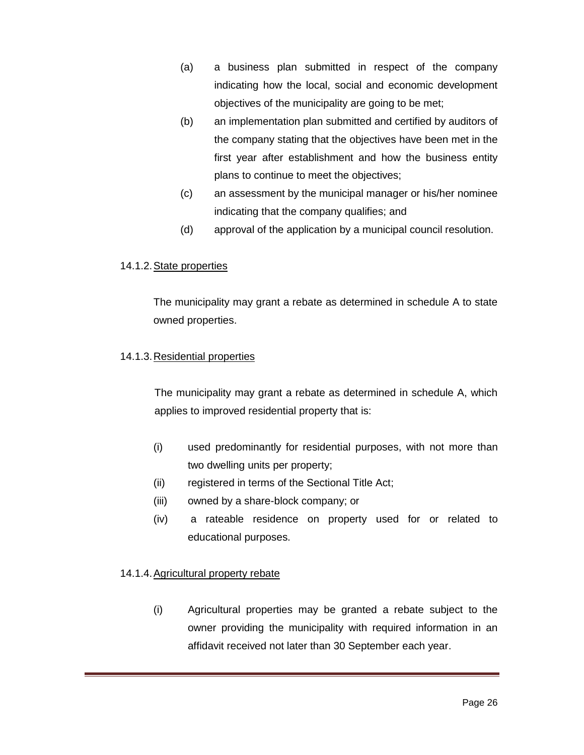- (a) a business plan submitted in respect of the company indicating how the local, social and economic development objectives of the municipality are going to be met;
- (b) an implementation plan submitted and certified by auditors of the company stating that the objectives have been met in the first year after establishment and how the business entity plans to continue to meet the objectives;
- (c) an assessment by the municipal manager or his/her nominee indicating that the company qualifies; and
- (d) approval of the application by a municipal council resolution.

#### 14.1.2. State properties

The municipality may grant a rebate as determined in schedule A to state owned properties.

#### 14.1.3. Residential properties

The municipality may grant a rebate as determined in schedule A, which applies to improved residential property that is:

- (i) used predominantly for residential purposes, with not more than two dwelling units per property;
- (ii) registered in terms of the Sectional Title Act;
- (iii) owned by a share-block company; or
- (iv) a rateable residence on property used for or related to educational purposes.

#### 14.1.4.Agricultural property rebate

(i) Agricultural properties may be granted a rebate subject to the owner providing the municipality with required information in an affidavit received not later than 30 September each year.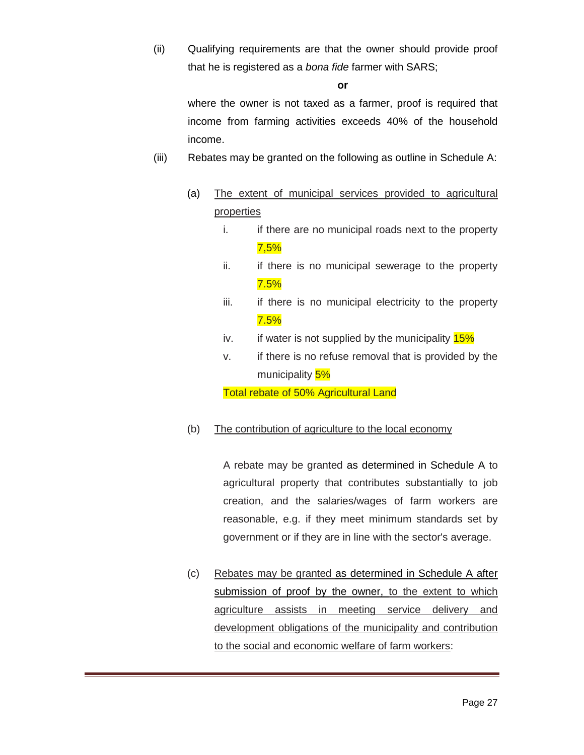(ii) Qualifying requirements are that the owner should provide proof that he is registered as a *bona fide* farmer with SARS;

**or**

where the owner is not taxed as a farmer, proof is required that income from farming activities exceeds 40% of the household income.

- (iii) Rebates may be granted on the following as outline in Schedule A:
	- (a) The extent of municipal services provided to agricultural properties
		- i. if there are no municipal roads next to the property 7,5%
		- ii. if there is no municipal sewerage to the property 7.5%
		- iii. if there is no municipal electricity to the property 7.5%
		- iv. if water is not supplied by the municipality  $15\%$
		- v. if there is no refuse removal that is provided by the municipality 5%

Total rebate of 50% Agricultural Land

# (b) The contribution of agriculture to the local economy

A rebate may be granted as determined in Schedule A to agricultural property that contributes substantially to job creation, and the salaries/wages of farm workers are reasonable, e.g. if they meet minimum standards set by government or if they are in line with the sector's average.

(c) Rebates may be granted as determined in Schedule A after submission of proof by the owner, to the extent to which agriculture assists in meeting service delivery and development obligations of the municipality and contribution to the social and economic welfare of farm workers: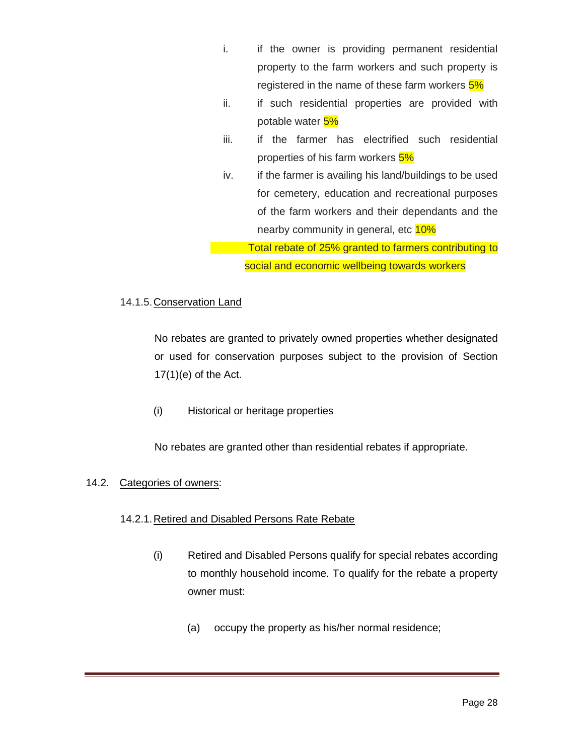- i. if the owner is providing permanent residential property to the farm workers and such property is registered in the name of these farm workers  $5\%$
- ii. if such residential properties are provided with potable water 5%
- iii. if the farmer has electrified such residential properties of his farm workers 5%
- iv. if the farmer is availing his land/buildings to be used for cemetery, education and recreational purposes of the farm workers and their dependants and the nearby community in general, etc 10%

Total rebate of 25% granted to farmers contributing to social and economic wellbeing towards workers

#### 14.1.5.Conservation Land

No rebates are granted to privately owned properties whether designated or used for conservation purposes subject to the provision of Section  $17(1)(e)$  of the Act.

#### (i) Historical or heritage properties

No rebates are granted other than residential rebates if appropriate.

#### 14.2. Categories of owners:

# 14.2.1.Retired and Disabled Persons Rate Rebate

- (i) Retired and Disabled Persons qualify for special rebates according to monthly household income. To qualify for the rebate a property owner must:
	- (a) occupy the property as his/her normal residence;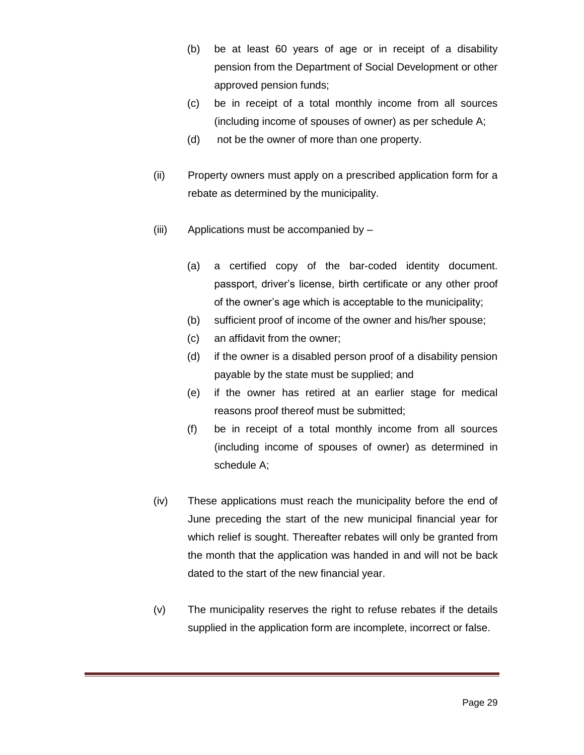- (b) be at least 60 years of age or in receipt of a disability pension from the Department of Social Development or other approved pension funds;
- (c) be in receipt of a total monthly income from all sources (including income of spouses of owner) as per schedule A;
- (d) not be the owner of more than one property.
- (ii) Property owners must apply on a prescribed application form for a rebate as determined by the municipality.
- (iii) Applications must be accompanied by
	- (a) a certified copy of the bar-coded identity document. passport, driver's license, birth certificate or any other proof of the owner's age which is acceptable to the municipality;
	- (b) sufficient proof of income of the owner and his/her spouse;
	- (c) an affidavit from the owner;
	- (d) if the owner is a disabled person proof of a disability pension payable by the state must be supplied; and
	- (e) if the owner has retired at an earlier stage for medical reasons proof thereof must be submitted;
	- (f) be in receipt of a total monthly income from all sources (including income of spouses of owner) as determined in schedule A;
- (iv) These applications must reach the municipality before the end of June preceding the start of the new municipal financial year for which relief is sought. Thereafter rebates will only be granted from the month that the application was handed in and will not be back dated to the start of the new financial year.
- (v) The municipality reserves the right to refuse rebates if the details supplied in the application form are incomplete, incorrect or false.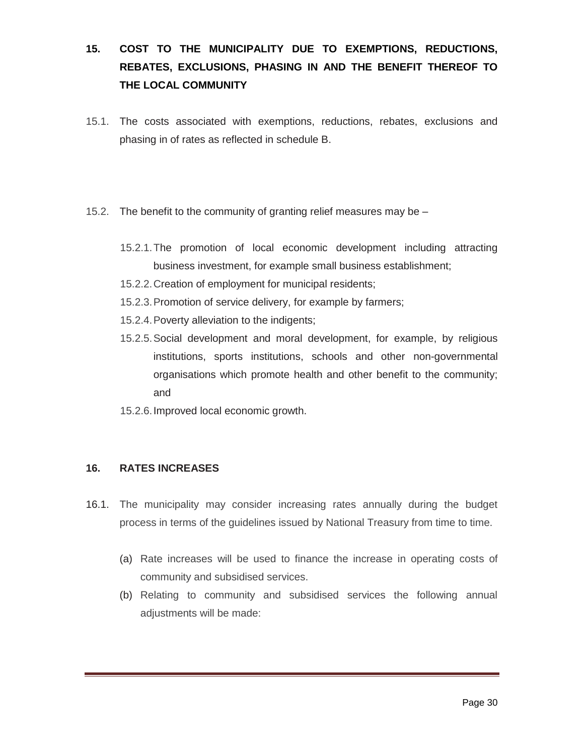# **15. COST TO THE MUNICIPALITY DUE TO EXEMPTIONS, REDUCTIONS, REBATES, EXCLUSIONS, PHASING IN AND THE BENEFIT THEREOF TO THE LOCAL COMMUNITY**

- 15.1. The costs associated with exemptions, reductions, rebates, exclusions and phasing in of rates as reflected in schedule B.
- 15.2. The benefit to the community of granting relief measures may be
	- 15.2.1.The promotion of local economic development including attracting business investment, for example small business establishment;
	- 15.2.2.Creation of employment for municipal residents;
	- 15.2.3.Promotion of service delivery, for example by farmers;
	- 15.2.4.Poverty alleviation to the indigents;
	- 15.2.5.Social development and moral development, for example, by religious institutions, sports institutions, schools and other non-governmental organisations which promote health and other benefit to the community; and
	- 15.2.6.Improved local economic growth.

#### **16. RATES INCREASES**

- 16.1. The municipality may consider increasing rates annually during the budget process in terms of the guidelines issued by National Treasury from time to time.
	- (a) Rate increases will be used to finance the increase in operating costs of community and subsidised services.
	- (b) Relating to community and subsidised services the following annual adjustments will be made: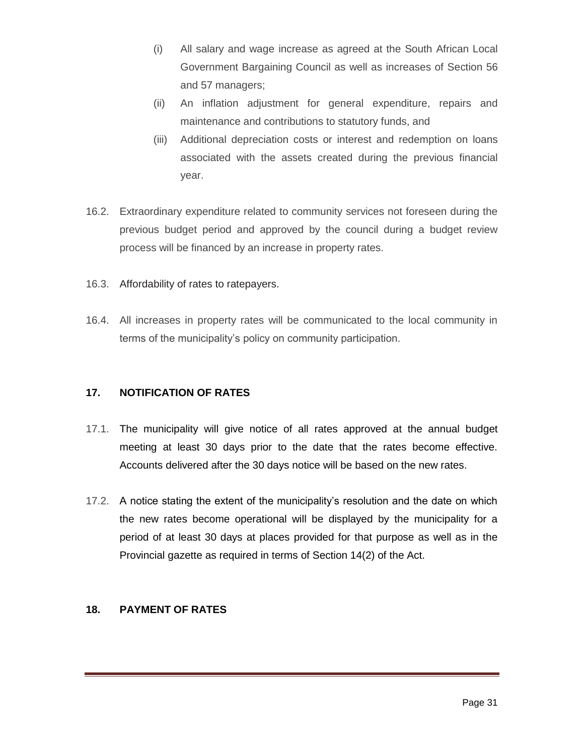- (i) All salary and wage increase as agreed at the South African Local Government Bargaining Council as well as increases of Section 56 and 57 managers;
- (ii) An inflation adjustment for general expenditure, repairs and maintenance and contributions to statutory funds, and
- (iii) Additional depreciation costs or interest and redemption on loans associated with the assets created during the previous financial year.
- 16.2. Extraordinary expenditure related to community services not foreseen during the previous budget period and approved by the council during a budget review process will be financed by an increase in property rates.
- 16.3. Affordability of rates to ratepayers.
- 16.4. All increases in property rates will be communicated to the local community in terms of the municipality's policy on community participation.

#### **17. NOTIFICATION OF RATES**

- 17.1. The municipality will give notice of all rates approved at the annual budget meeting at least 30 days prior to the date that the rates become effective. Accounts delivered after the 30 days notice will be based on the new rates.
- 17.2. A notice stating the extent of the municipality's resolution and the date on which the new rates become operational will be displayed by the municipality for a period of at least 30 days at places provided for that purpose as well as in the Provincial gazette as required in terms of Section 14(2) of the Act.

#### **18. PAYMENT OF RATES**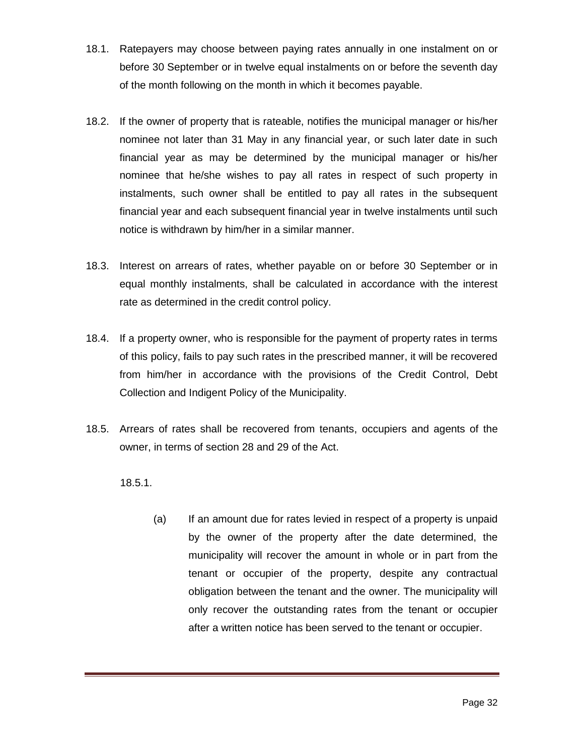- 18.1. Ratepayers may choose between paying rates annually in one instalment on or before 30 September or in twelve equal instalments on or before the seventh day of the month following on the month in which it becomes payable.
- 18.2. If the owner of property that is rateable, notifies the municipal manager or his/her nominee not later than 31 May in any financial year, or such later date in such financial year as may be determined by the municipal manager or his/her nominee that he/she wishes to pay all rates in respect of such property in instalments, such owner shall be entitled to pay all rates in the subsequent financial year and each subsequent financial year in twelve instalments until such notice is withdrawn by him/her in a similar manner.
- 18.3. Interest on arrears of rates, whether payable on or before 30 September or in equal monthly instalments, shall be calculated in accordance with the interest rate as determined in the credit control policy.
- 18.4. If a property owner, who is responsible for the payment of property rates in terms of this policy, fails to pay such rates in the prescribed manner, it will be recovered from him/her in accordance with the provisions of the Credit Control, Debt Collection and Indigent Policy of the Municipality.
- 18.5. Arrears of rates shall be recovered from tenants, occupiers and agents of the owner, in terms of section 28 and 29 of the Act.
	- 18.5.1.
		- (a) If an amount due for rates levied in respect of a property is unpaid by the owner of the property after the date determined, the municipality will recover the amount in whole or in part from the tenant or occupier of the property, despite any contractual obligation between the tenant and the owner. The municipality will only recover the outstanding rates from the tenant or occupier after a written notice has been served to the tenant or occupier.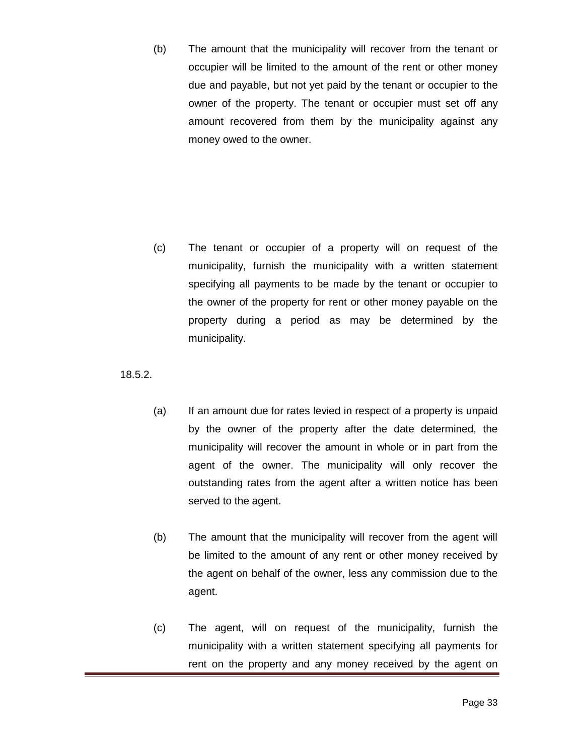(b) The amount that the municipality will recover from the tenant or occupier will be limited to the amount of the rent or other money due and payable, but not yet paid by the tenant or occupier to the owner of the property. The tenant or occupier must set off any amount recovered from them by the municipality against any money owed to the owner.

(c) The tenant or occupier of a property will on request of the municipality, furnish the municipality with a written statement specifying all payments to be made by the tenant or occupier to the owner of the property for rent or other money payable on the property during a period as may be determined by the municipality.

18.5.2.

- (a) If an amount due for rates levied in respect of a property is unpaid by the owner of the property after the date determined, the municipality will recover the amount in whole or in part from the agent of the owner. The municipality will only recover the outstanding rates from the agent after a written notice has been served to the agent.
- (b) The amount that the municipality will recover from the agent will be limited to the amount of any rent or other money received by the agent on behalf of the owner, less any commission due to the agent.
- (c) The agent, will on request of the municipality, furnish the municipality with a written statement specifying all payments for rent on the property and any money received by the agent on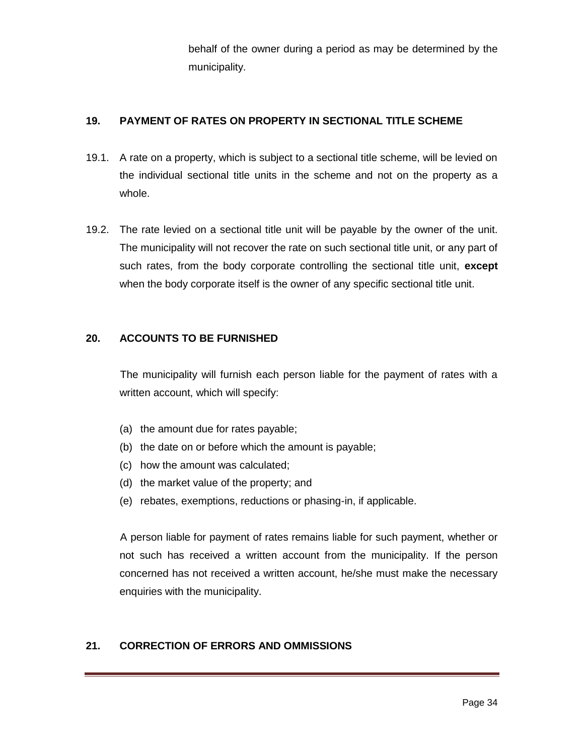behalf of the owner during a period as may be determined by the municipality.

### **19. PAYMENT OF RATES ON PROPERTY IN SECTIONAL TITLE SCHEME**

- 19.1. A rate on a property, which is subject to a sectional title scheme, will be levied on the individual sectional title units in the scheme and not on the property as a whole.
- 19.2. The rate levied on a sectional title unit will be payable by the owner of the unit. The municipality will not recover the rate on such sectional title unit, or any part of such rates, from the body corporate controlling the sectional title unit, **except** when the body corporate itself is the owner of any specific sectional title unit.

#### **20. ACCOUNTS TO BE FURNISHED**

The municipality will furnish each person liable for the payment of rates with a written account, which will specify:

- (a) the amount due for rates payable;
- (b) the date on or before which the amount is payable;
- (c) how the amount was calculated;
- (d) the market value of the property; and
- (e) rebates, exemptions, reductions or phasing-in, if applicable.

A person liable for payment of rates remains liable for such payment, whether or not such has received a written account from the municipality. If the person concerned has not received a written account, he/she must make the necessary enquiries with the municipality.

#### **21. CORRECTION OF ERRORS AND OMMISSIONS**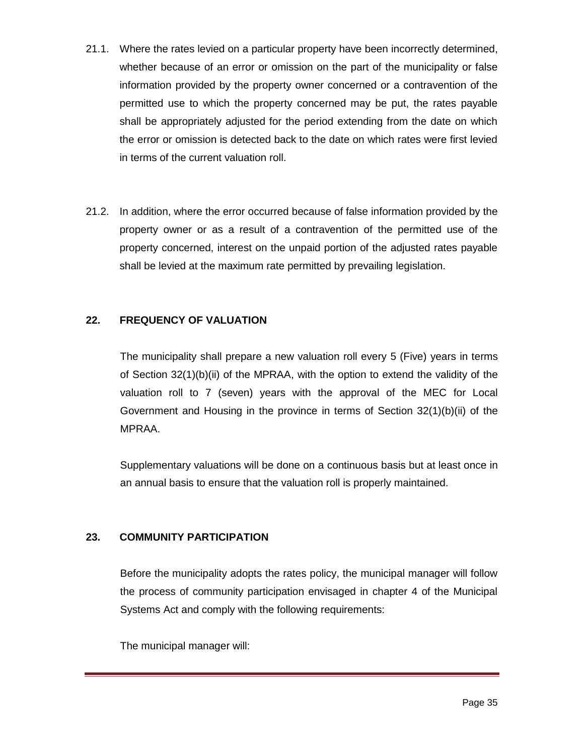- 21.1. Where the rates levied on a particular property have been incorrectly determined, whether because of an error or omission on the part of the municipality or false information provided by the property owner concerned or a contravention of the permitted use to which the property concerned may be put, the rates payable shall be appropriately adjusted for the period extending from the date on which the error or omission is detected back to the date on which rates were first levied in terms of the current valuation roll.
- 21.2. In addition, where the error occurred because of false information provided by the property owner or as a result of a contravention of the permitted use of the property concerned, interest on the unpaid portion of the adjusted rates payable shall be levied at the maximum rate permitted by prevailing legislation.

#### **22. FREQUENCY OF VALUATION**

The municipality shall prepare a new valuation roll every 5 (Five) years in terms of Section 32(1)(b)(ii) of the MPRAA, with the option to extend the validity of the valuation roll to 7 (seven) years with the approval of the MEC for Local Government and Housing in the province in terms of Section 32(1)(b)(ii) of the MPRAA.

Supplementary valuations will be done on a continuous basis but at least once in an annual basis to ensure that the valuation roll is properly maintained.

#### **23. COMMUNITY PARTICIPATION**

Before the municipality adopts the rates policy, the municipal manager will follow the process of community participation envisaged in chapter 4 of the Municipal Systems Act and comply with the following requirements:

The municipal manager will: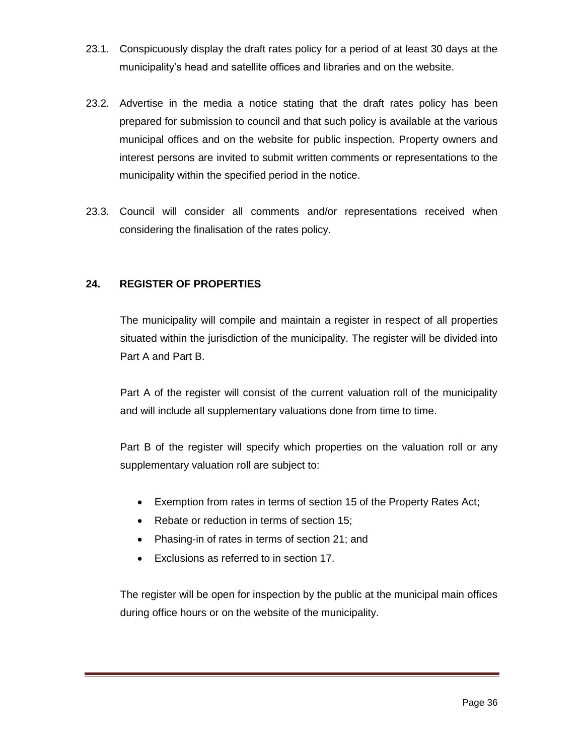- 23.1. Conspicuously display the draft rates policy for a period of at least 30 days at the municipality's head and satellite offices and libraries and on the website.
- 23.2. Advertise in the media a notice stating that the draft rates policy has been prepared for submission to council and that such policy is available at the various municipal offices and on the website for public inspection. Property owners and interest persons are invited to submit written comments or representations to the municipality within the specified period in the notice.
- 23.3. Council will consider all comments and/or representations received when considering the finalisation of the rates policy.

#### **24. REGISTER OF PROPERTIES**

The municipality will compile and maintain a register in respect of all properties situated within the jurisdiction of the municipality. The register will be divided into Part A and Part B.

Part A of the register will consist of the current valuation roll of the municipality and will include all supplementary valuations done from time to time.

Part B of the register will specify which properties on the valuation roll or any supplementary valuation roll are subject to:

- Exemption from rates in terms of section 15 of the Property Rates Act;
- Rebate or reduction in terms of section 15;
- Phasing-in of rates in terms of section 21; and
- Exclusions as referred to in section 17.

The register will be open for inspection by the public at the municipal main offices during office hours or on the website of the municipality.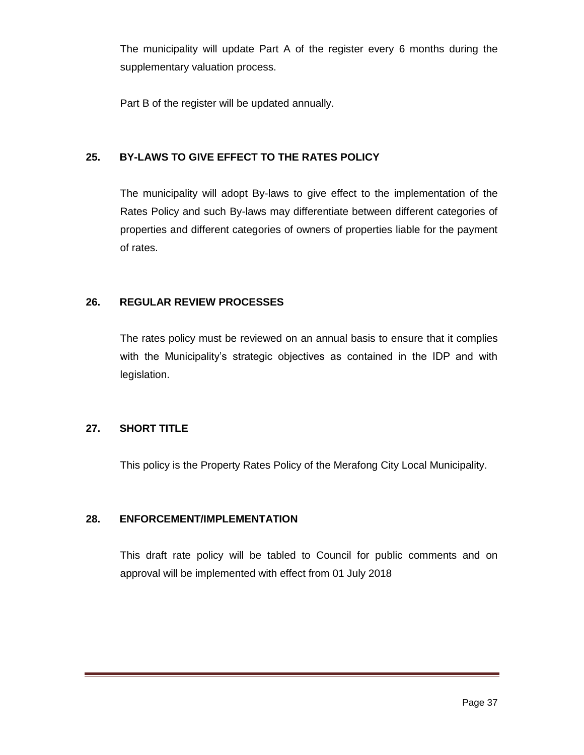The municipality will update Part A of the register every 6 months during the supplementary valuation process.

Part B of the register will be updated annually.

#### **25. BY-LAWS TO GIVE EFFECT TO THE RATES POLICY**

The municipality will adopt By-laws to give effect to the implementation of the Rates Policy and such By-laws may differentiate between different categories of properties and different categories of owners of properties liable for the payment of rates.

#### **26. REGULAR REVIEW PROCESSES**

The rates policy must be reviewed on an annual basis to ensure that it complies with the Municipality's strategic objectives as contained in the IDP and with legislation.

#### **27. SHORT TITLE**

This policy is the Property Rates Policy of the Merafong City Local Municipality.

#### **28. ENFORCEMENT/IMPLEMENTATION**

This draft rate policy will be tabled to Council for public comments and on approval will be implemented with effect from 01 July 2018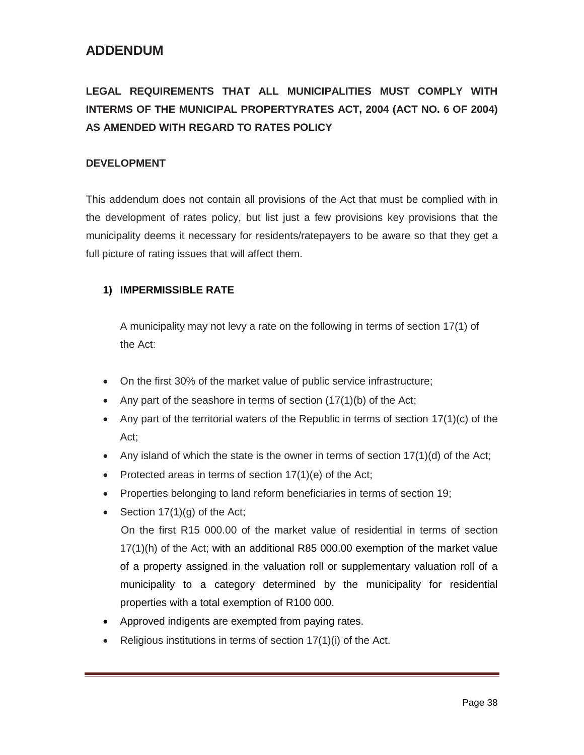# **ADDENDUM**

# **LEGAL REQUIREMENTS THAT ALL MUNICIPALITIES MUST COMPLY WITH INTERMS OF THE MUNICIPAL PROPERTYRATES ACT, 2004 (ACT NO. 6 OF 2004) AS AMENDED WITH REGARD TO RATES POLICY**

#### **DEVELOPMENT**

This addendum does not contain all provisions of the Act that must be complied with in the development of rates policy, but list just a few provisions key provisions that the municipality deems it necessary for residents/ratepayers to be aware so that they get a full picture of rating issues that will affect them.

#### **1) IMPERMISSIBLE RATE**

A municipality may not levy a rate on the following in terms of section 17(1) of the Act:

- On the first 30% of the market value of public service infrastructure;
- Any part of the seashore in terms of section  $(17(1)(b))$  of the Act;
- Any part of the territorial waters of the Republic in terms of section  $17(1)(c)$  of the Act;
- Any island of which the state is the owner in terms of section  $17(1)(d)$  of the Act;
- Protected areas in terms of section  $17(1)(e)$  of the Act;
- Properties belonging to land reform beneficiaries in terms of section 19;
- Section  $17(1)(q)$  of the Act;

 On the first R15 000.00 of the market value of residential in terms of section 17(1)(h) of the Act; with an additional R85 000.00 exemption of the market value of a property assigned in the valuation roll or supplementary valuation roll of a municipality to a category determined by the municipality for residential properties with a total exemption of R100 000.

- Approved indigents are exempted from paying rates.
- Religious institutions in terms of section 17(1)(i) of the Act.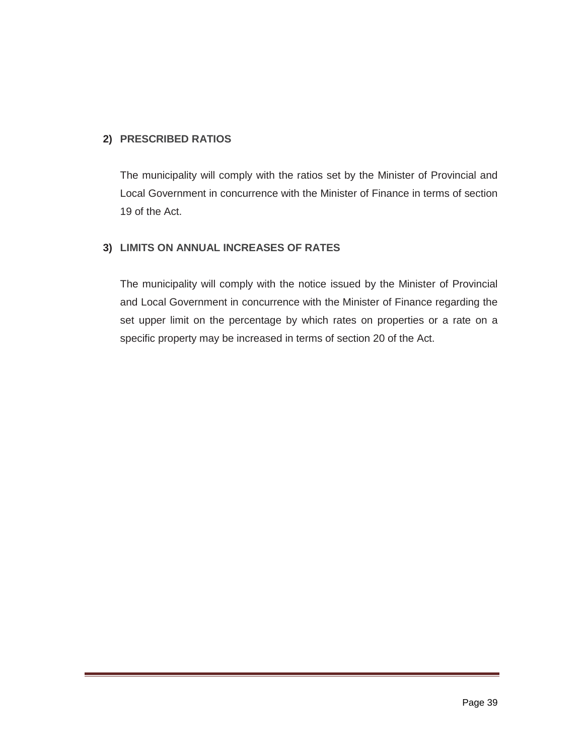#### **2) PRESCRIBED RATIOS**

The municipality will comply with the ratios set by the Minister of Provincial and Local Government in concurrence with the Minister of Finance in terms of section 19 of the Act.

#### **3) LIMITS ON ANNUAL INCREASES OF RATES**

The municipality will comply with the notice issued by the Minister of Provincial and Local Government in concurrence with the Minister of Finance regarding the set upper limit on the percentage by which rates on properties or a rate on a specific property may be increased in terms of section 20 of the Act.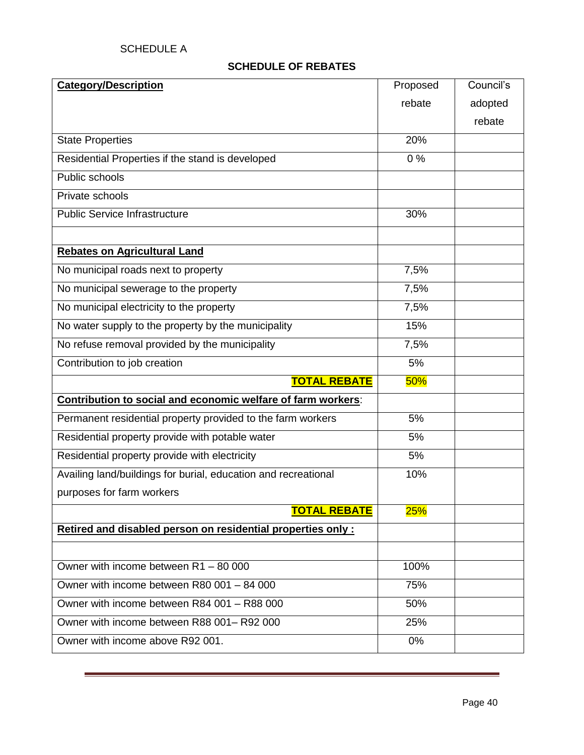# **SCHEDULE OF REBATES**

| <b>Category/Description</b>                                    | Proposed | Council's |
|----------------------------------------------------------------|----------|-----------|
|                                                                | rebate   | adopted   |
|                                                                |          | rebate    |
| <b>State Properties</b>                                        | 20%      |           |
| Residential Properties if the stand is developed               | 0%       |           |
| Public schools                                                 |          |           |
| Private schools                                                |          |           |
| <b>Public Service Infrastructure</b>                           | 30%      |           |
|                                                                |          |           |
| <b>Rebates on Agricultural Land</b>                            |          |           |
| No municipal roads next to property                            | 7,5%     |           |
| No municipal sewerage to the property                          | 7,5%     |           |
| No municipal electricity to the property                       | 7,5%     |           |
| No water supply to the property by the municipality            | 15%      |           |
| No refuse removal provided by the municipality                 | 7,5%     |           |
| Contribution to job creation                                   | 5%       |           |
| <b>TOTAL REBATE</b>                                            | 50%      |           |
| Contribution to social and economic welfare of farm workers:   |          |           |
| Permanent residential property provided to the farm workers    | 5%       |           |
| Residential property provide with potable water                | 5%       |           |
| Residential property provide with electricity                  | 5%       |           |
| Availing land/buildings for burial, education and recreational | 10%      |           |
| purposes for farm workers                                      |          |           |
| <b>TOTAL REBATE</b>                                            | 25%      |           |
| Retired and disabled person on residential properties only:    |          |           |
|                                                                |          |           |
| Owner with income between R1 - 80 000                          | 100%     |           |
| Owner with income between R80 001 - 84 000                     | 75%      |           |
| Owner with income between R84 001 - R88 000                    | 50%      |           |
| Owner with income between R88 001-R92 000                      | 25%      |           |
| Owner with income above R92 001.                               | 0%       |           |